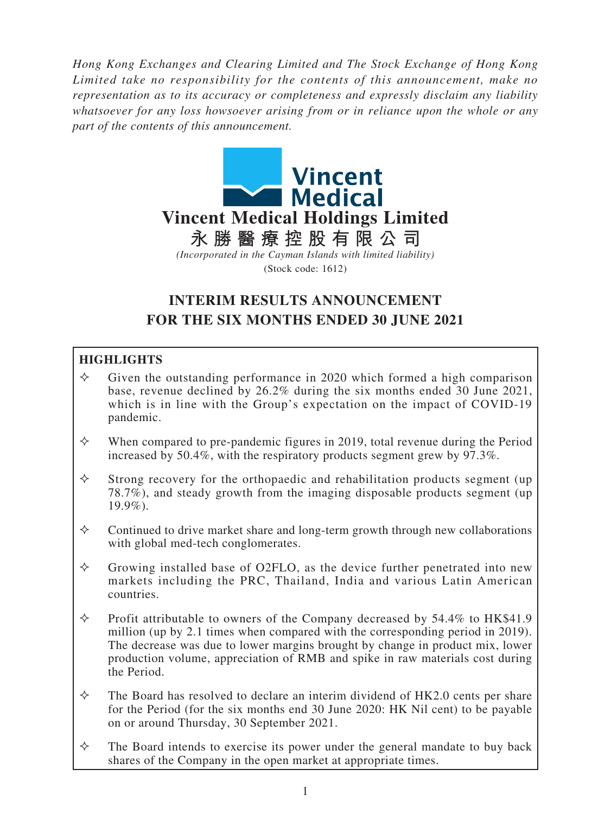*Hong Kong Exchanges and Clearing Limited and The Stock Exchange of Hong Kong Limited take no responsibility for the contents of this announcement, make no representation as to its accuracy or completeness and expressly disclaim any liability whatsoever for any loss howsoever arising from or in reliance upon the whole or any part of the contents of this announcement.*



# **INTERIM RESULTS ANNOUNCEMENT FOR THE SIX MONTHS ENDED 30 JUNE 2021**

## **HIGHLIGHTS**

- $\Diamond$  Given the outstanding performance in 2020 which formed a high comparison base, revenue declined by 26.2% during the six months ended 30 June 2021, which is in line with the Group's expectation on the impact of COVID-19 pandemic.
- $\diamond$  When compared to pre-pandemic figures in 2019, total revenue during the Period increased by 50.4%, with the respiratory products segment grew by 97.3%.
- $\Diamond$  Strong recovery for the orthopaedic and rehabilitation products segment (up) 78.7%), and steady growth from the imaging disposable products segment (up  $19.9\%$ ).
- $\Diamond$  Continued to drive market share and long-term growth through new collaborations with global med-tech conglomerates.
- $\Diamond$  Growing installed base of O2FLO, as the device further penetrated into new markets including the PRC, Thailand, India and various Latin American countries.
- $\Diamond$  Profit attributable to owners of the Company decreased by 54.4% to HK\$41.9 million (up by 2.1 times when compared with the corresponding period in 2019). The decrease was due to lower margins brought by change in product mix, lower production volume, appreciation of RMB and spike in raw materials cost during the Period.
- $\Diamond$  The Board has resolved to declare an interim dividend of HK2.0 cents per share for the Period (for the six months end 30 June 2020: HK Nil cent) to be payable on or around Thursday, 30 September 2021.
- $\Diamond$  The Board intends to exercise its power under the general mandate to buy back shares of the Company in the open market at appropriate times.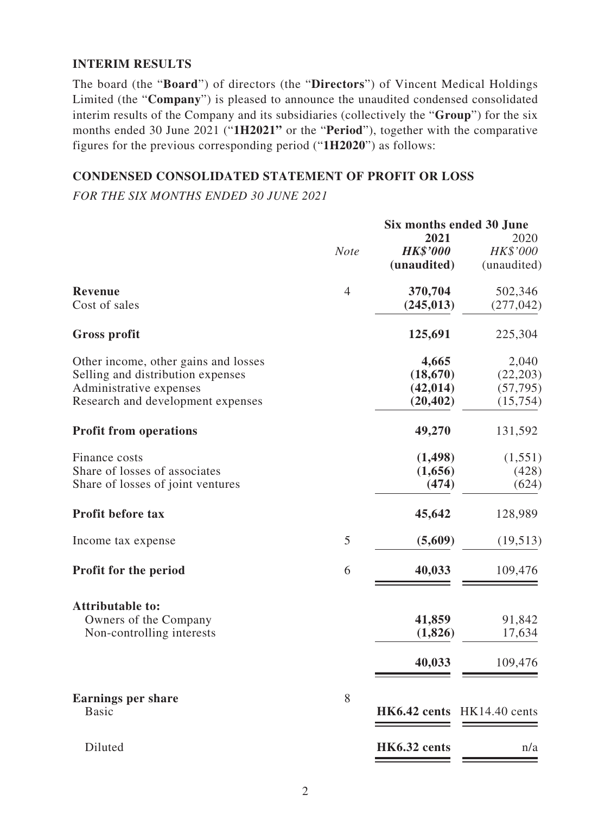#### **INTERIM RESULTS**

The board (the "**Board**") of directors (the "**Directors**") of Vincent Medical Holdings Limited (the "**Company**") is pleased to announce the unaudited condensed consolidated interim results of the Company and its subsidiaries (collectively the "**Group**") for the six months ended 30 June 2021 ("**1H2021"** or the "**Period**"), together with the comparative figures for the previous corresponding period ("**1H2020**") as follows:

#### **CONDENSED CONSOLIDATED STATEMENT OF PROFIT OR LOSS**

*FOR THE SIX MONTHS ENDED 30 JUNE 2021*

|                                           |                | Six months ended 30 June   |             |
|-------------------------------------------|----------------|----------------------------|-------------|
|                                           |                | 2021                       | 2020        |
|                                           | <b>Note</b>    | <b>HK\$'000</b>            | HK\$'000    |
|                                           |                | (unaudited)                | (unaudited) |
| <b>Revenue</b>                            | $\overline{4}$ | 370,704                    | 502,346     |
| Cost of sales                             |                | (245, 013)                 | (277, 042)  |
| <b>Gross profit</b>                       |                | 125,691                    | 225,304     |
| Other income, other gains and losses      |                | 4,665                      | 2,040       |
| Selling and distribution expenses         |                | (18,670)                   | (22, 203)   |
| Administrative expenses                   |                | (42, 014)                  | (57, 795)   |
| Research and development expenses         |                | (20, 402)                  | (15, 754)   |
| <b>Profit from operations</b>             |                | 49,270                     | 131,592     |
| Finance costs                             |                | (1, 498)                   | (1,551)     |
| Share of losses of associates             |                | (1,656)                    | (428)       |
| Share of losses of joint ventures         |                | (474)                      | (624)       |
| <b>Profit before tax</b>                  |                | 45,642                     | 128,989     |
| Income tax expense                        | 5              | (5,609)                    | (19,513)    |
| <b>Profit for the period</b>              | 6              | 40,033                     | 109,476     |
| <b>Attributable to:</b>                   |                |                            |             |
| Owners of the Company                     |                | 41,859                     | 91,842      |
| Non-controlling interests                 |                | (1,826)                    | 17,634      |
|                                           |                | 40,033                     | 109,476     |
| <b>Earnings per share</b><br><b>Basic</b> | 8              | HK6.42 cents HK14.40 cents |             |
|                                           |                |                            |             |
| Diluted                                   |                | HK6.32 cents               | n/a         |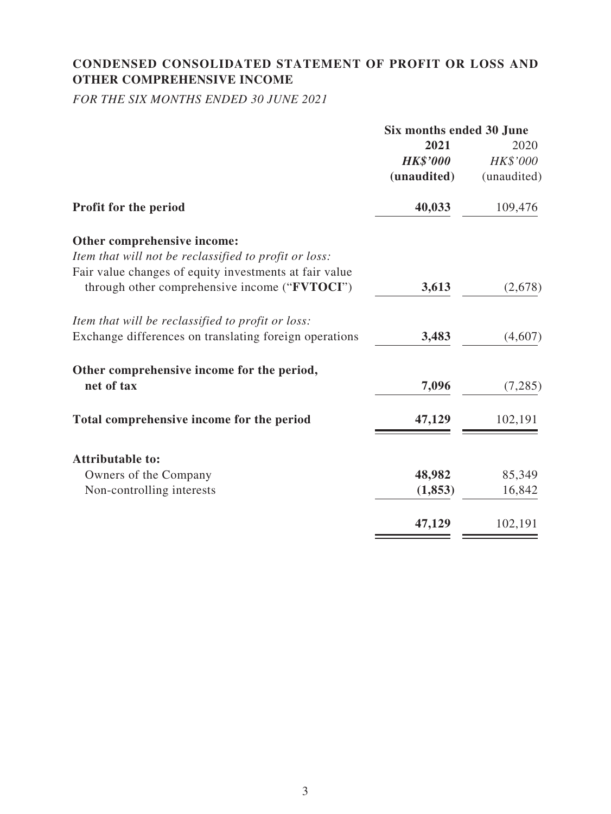## **CONDENSED CONSOLIDATED STATEMENT OF PROFIT OR LOSS AND OTHER COMPREHENSIVE INCOME**

*FOR THE SIX MONTHS ENDED 30 JUNE 2021*

|                                                        | Six months ended 30 June |             |  |
|--------------------------------------------------------|--------------------------|-------------|--|
|                                                        | 2021                     | 2020        |  |
|                                                        | <b>HK\$'000</b>          | HK\$'000    |  |
|                                                        | (unaudited)              | (unaudited) |  |
| Profit for the period                                  | 40,033                   | 109,476     |  |
| Other comprehensive income:                            |                          |             |  |
| Item that will not be reclassified to profit or loss:  |                          |             |  |
| Fair value changes of equity investments at fair value |                          |             |  |
| through other comprehensive income ("FVTOCI")          | 3,613                    | (2,678)     |  |
| Item that will be reclassified to profit or loss:      |                          |             |  |
| Exchange differences on translating foreign operations | 3,483                    | (4,607)     |  |
| Other comprehensive income for the period,             |                          |             |  |
| net of tax                                             | 7,096                    | (7, 285)    |  |
| Total comprehensive income for the period              | 47,129                   | 102,191     |  |
| <b>Attributable to:</b>                                |                          |             |  |
| Owners of the Company                                  | 48,982                   | 85,349      |  |
| Non-controlling interests                              | (1, 853)                 | 16,842      |  |
|                                                        | 47,129                   | 102,191     |  |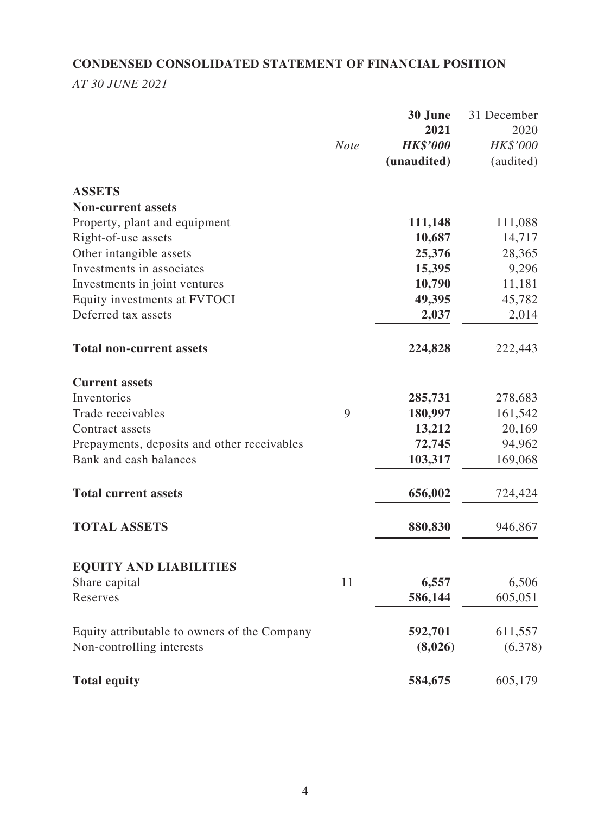## **CONDENSED CONSOLIDATED STATEMENT OF FINANCIAL POSITION**

*AT 30 JUNE 2021*

|                                              |             | 30 June         | 31 December |
|----------------------------------------------|-------------|-----------------|-------------|
|                                              |             | 2021            | 2020        |
|                                              | <b>Note</b> | <b>HK\$'000</b> | HK\$'000    |
|                                              |             | (unaudited)     | (audited)   |
| <b>ASSETS</b>                                |             |                 |             |
| <b>Non-current assets</b>                    |             |                 |             |
| Property, plant and equipment                |             | 111,148         | 111,088     |
| Right-of-use assets                          |             | 10,687          | 14,717      |
| Other intangible assets                      |             | 25,376          | 28,365      |
| Investments in associates                    |             | 15,395          | 9,296       |
| Investments in joint ventures                |             | 10,790          | 11,181      |
| Equity investments at FVTOCI                 |             | 49,395          | 45,782      |
| Deferred tax assets                          |             | 2,037           | 2,014       |
| <b>Total non-current assets</b>              |             | 224,828         | 222,443     |
| <b>Current assets</b>                        |             |                 |             |
| Inventories                                  |             | 285,731         | 278,683     |
| Trade receivables                            | 9           | 180,997         | 161,542     |
| Contract assets                              |             | 13,212          | 20,169      |
| Prepayments, deposits and other receivables  |             | 72,745          | 94,962      |
| Bank and cash balances                       |             | 103,317         | 169,068     |
| <b>Total current assets</b>                  |             | 656,002         | 724,424     |
| <b>TOTAL ASSETS</b>                          |             | 880,830         | 946,867     |
| <b>EQUITY AND LIABILITIES</b>                |             |                 |             |
| Share capital                                | 11          | 6,557           | 6,506       |
| Reserves                                     |             | 586,144         | 605,051     |
| Equity attributable to owners of the Company |             | 592,701         | 611,557     |
| Non-controlling interests                    |             | (8,026)         | (6,378)     |
|                                              |             |                 |             |
| <b>Total equity</b>                          |             | 584,675         | 605,179     |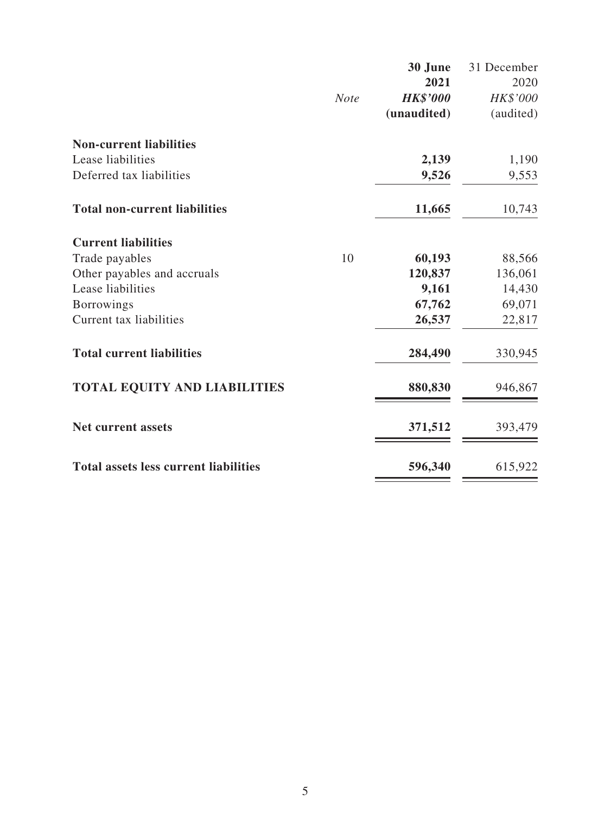|                                              |             | 30 June         | 31 December |
|----------------------------------------------|-------------|-----------------|-------------|
|                                              |             | 2021            | 2020        |
|                                              | <b>Note</b> | <b>HK\$'000</b> | HK\$'000    |
|                                              |             | (unaudited)     | (audited)   |
| <b>Non-current liabilities</b>               |             |                 |             |
| Lease liabilities                            |             | 2,139           | 1,190       |
| Deferred tax liabilities                     |             | 9,526           | 9,553       |
| <b>Total non-current liabilities</b>         |             | 11,665          | 10,743      |
| <b>Current liabilities</b>                   |             |                 |             |
| Trade payables                               | 10          | 60,193          | 88,566      |
| Other payables and accruals                  |             | 120,837         | 136,061     |
| Lease liabilities                            |             | 9,161           | 14,430      |
| <b>Borrowings</b>                            |             | 67,762          | 69,071      |
| Current tax liabilities                      |             | 26,537          | 22,817      |
| <b>Total current liabilities</b>             |             | 284,490         | 330,945     |
| <b>TOTAL EQUITY AND LIABILITIES</b>          |             | 880,830         | 946,867     |
| <b>Net current assets</b>                    |             | 371,512         | 393,479     |
| <b>Total assets less current liabilities</b> |             | 596,340         | 615,922     |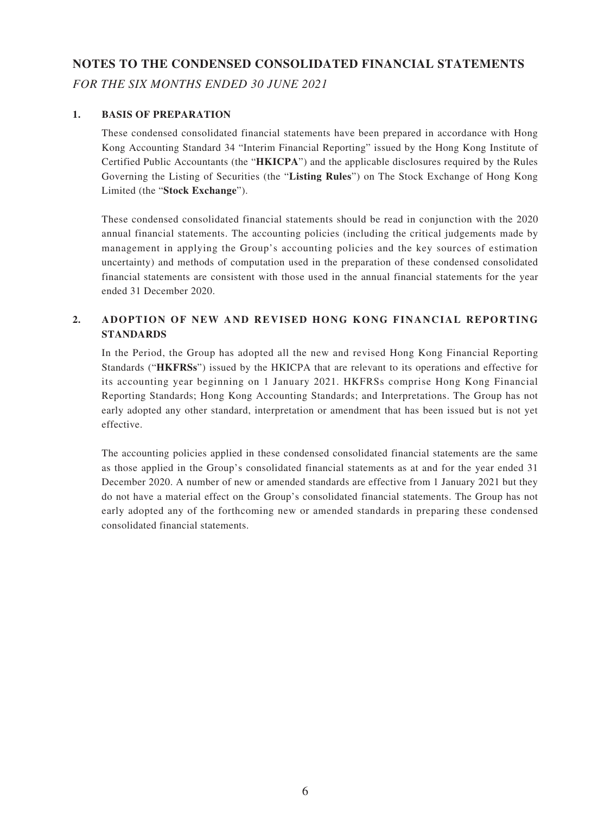# **NOTES TO THE CONDENSED CONSOLIDATED FINANCIAL STATEMENTS** *FOR THE SIX MONTHS ENDED 30 JUNE 2021*

#### **1. BASIS OF PREPARATION**

These condensed consolidated financial statements have been prepared in accordance with Hong Kong Accounting Standard 34 "Interim Financial Reporting" issued by the Hong Kong Institute of Certified Public Accountants (the "**HKICPA**") and the applicable disclosures required by the Rules Governing the Listing of Securities (the "**Listing Rules**") on The Stock Exchange of Hong Kong Limited (the "**Stock Exchange**").

These condensed consolidated financial statements should be read in conjunction with the 2020 annual financial statements. The accounting policies (including the critical judgements made by management in applying the Group's accounting policies and the key sources of estimation uncertainty) and methods of computation used in the preparation of these condensed consolidated financial statements are consistent with those used in the annual financial statements for the year ended 31 December 2020.

#### **2. ADOPTION OF NEW AND REVISED HONG KONG FINANCIAL REPORTING STANDARDS**

In the Period, the Group has adopted all the new and revised Hong Kong Financial Reporting Standards ("**HKFRSs**") issued by the HKICPA that are relevant to its operations and effective for its accounting year beginning on 1 January 2021. HKFRSs comprise Hong Kong Financial Reporting Standards; Hong Kong Accounting Standards; and Interpretations. The Group has not early adopted any other standard, interpretation or amendment that has been issued but is not yet effective.

The accounting policies applied in these condensed consolidated financial statements are the same as those applied in the Group's consolidated financial statements as at and for the year ended 31 December 2020. A number of new or amended standards are effective from 1 January 2021 but they do not have a material effect on the Group's consolidated financial statements. The Group has not early adopted any of the forthcoming new or amended standards in preparing these condensed consolidated financial statements.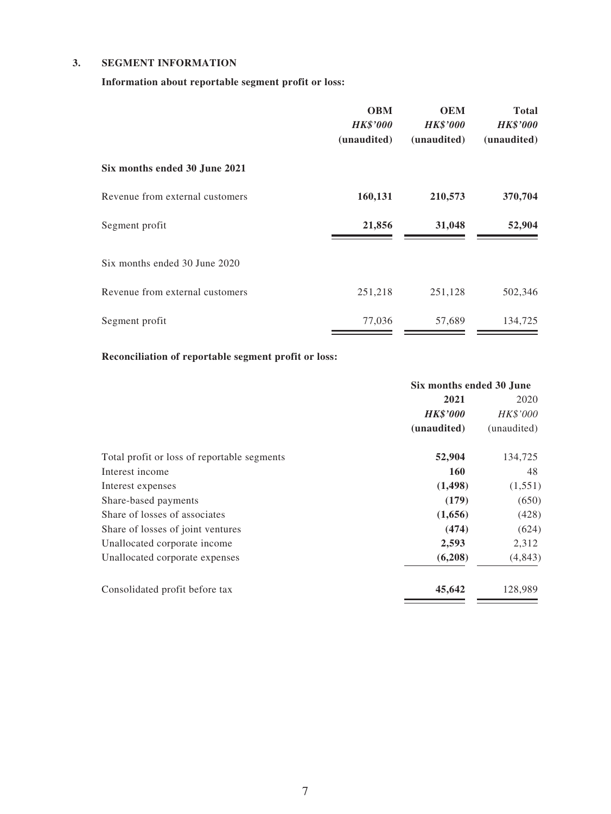#### **3. SEGMENT INFORMATION**

**Information about reportable segment profit or loss:**

|                                 | <b>OBM</b><br><b>HK\$'000</b><br>(unaudited) | <b>OEM</b><br><b>HK\$'000</b><br>(unaudited) | <b>Total</b><br><b>HK\$'000</b><br>(unaudited) |
|---------------------------------|----------------------------------------------|----------------------------------------------|------------------------------------------------|
| Six months ended 30 June 2021   |                                              |                                              |                                                |
| Revenue from external customers | 160,131                                      | 210,573                                      | 370,704                                        |
| Segment profit                  | 21,856                                       | 31,048                                       | 52,904                                         |
| Six months ended 30 June 2020   |                                              |                                              |                                                |
| Revenue from external customers | 251,218                                      | 251,128                                      | 502,346                                        |
| Segment profit                  | 77,036                                       | 57,689                                       | 134,725                                        |

#### **Reconciliation of reportable segment profit or loss:**

|                                             | Six months ended 30 June |             |  |
|---------------------------------------------|--------------------------|-------------|--|
|                                             | 2021                     | 2020        |  |
|                                             | <b>HK\$'000</b>          | HK\$'000    |  |
|                                             | (unaudited)              | (unaudited) |  |
| Total profit or loss of reportable segments | 52,904                   | 134,725     |  |
| Interest income                             | <b>160</b>               | 48          |  |
| Interest expenses                           | (1, 498)                 | (1,551)     |  |
| Share-based payments                        | (179)                    | (650)       |  |
| Share of losses of associates               | (1,656)                  | (428)       |  |
| Share of losses of joint ventures           | (474)                    | (624)       |  |
| Unallocated corporate income                | 2,593                    | 2,312       |  |
| Unallocated corporate expenses              | (6,208)                  | (4, 843)    |  |
| Consolidated profit before tax              | 45,642                   | 128,989     |  |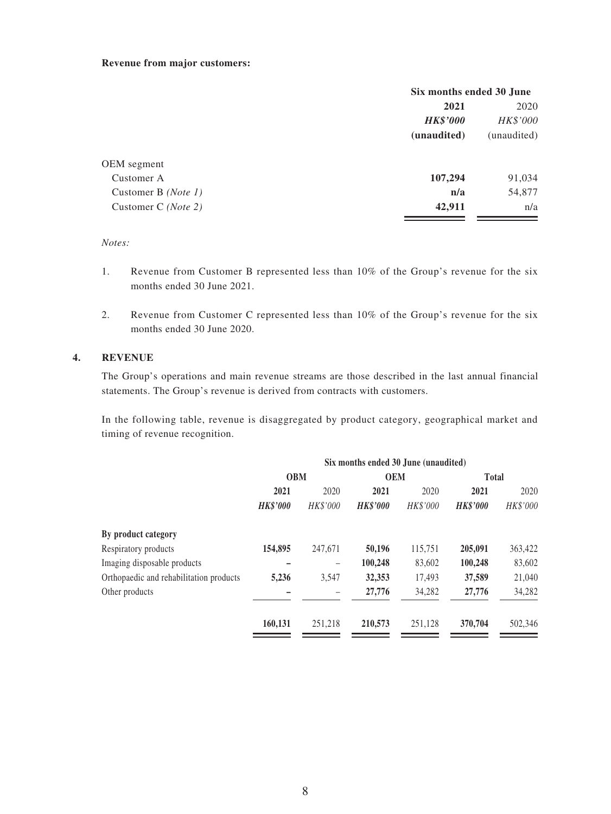#### **Revenue from major customers:**

|                              | Six months ended 30 June |             |  |
|------------------------------|--------------------------|-------------|--|
|                              | 2021                     | 2020        |  |
|                              | <b>HK\$'000</b>          | HK\$'000    |  |
|                              | (unaudited)              | (unaudited) |  |
| OEM segment                  |                          |             |  |
| Customer A                   | 107,294                  | 91,034      |  |
| Customer B ( <i>Note 1</i> ) | n/a                      | 54,877      |  |
| Customer C ( <i>Note 2</i> ) | 42,911                   | n/a         |  |
|                              |                          |             |  |

#### *Notes:*

- 1. Revenue from Customer B represented less than 10% of the Group's revenue for the six months ended 30 June 2021.
- 2. Revenue from Customer C represented less than 10% of the Group's revenue for the six months ended 30 June 2020.

#### **4. REVENUE**

The Group's operations and main revenue streams are those described in the last annual financial statements. The Group's revenue is derived from contracts with customers.

In the following table, revenue is disaggregated by product category, geographical market and timing of revenue recognition.

|                                         | Six months ended 30 June (unaudited) |                 |                 |            |                 |              |  |
|-----------------------------------------|--------------------------------------|-----------------|-----------------|------------|-----------------|--------------|--|
|                                         | <b>OBM</b>                           |                 |                 | <b>OEM</b> |                 | <b>Total</b> |  |
|                                         | 2021                                 | 2020            | 2021            | 2020       | 2021            | 2020         |  |
|                                         | <b>HK\$'000</b>                      | <b>HK\$'000</b> | <b>HK\$'000</b> | HK\$'000   | <b>HK\$'000</b> | HK\$'000     |  |
| By product category                     |                                      |                 |                 |            |                 |              |  |
| Respiratory products                    | 154,895                              | 247,671         | 50,196          | 115,751    | 205,091         | 363,422      |  |
| Imaging disposable products             |                                      | -               | 100,248         | 83,602     | 100,248         | 83,602       |  |
| Orthopaedic and rehabilitation products | 5,236                                | 3,547           | 32,353          | 17.493     | 37,589          | 21,040       |  |
| Other products                          |                                      |                 | 27,776          | 34,282     | 27,776          | 34,282       |  |
|                                         | 160,131                              | 251.218         | 210,573         | 251.128    | 370,704         | 502,346      |  |
|                                         |                                      |                 |                 |            |                 |              |  |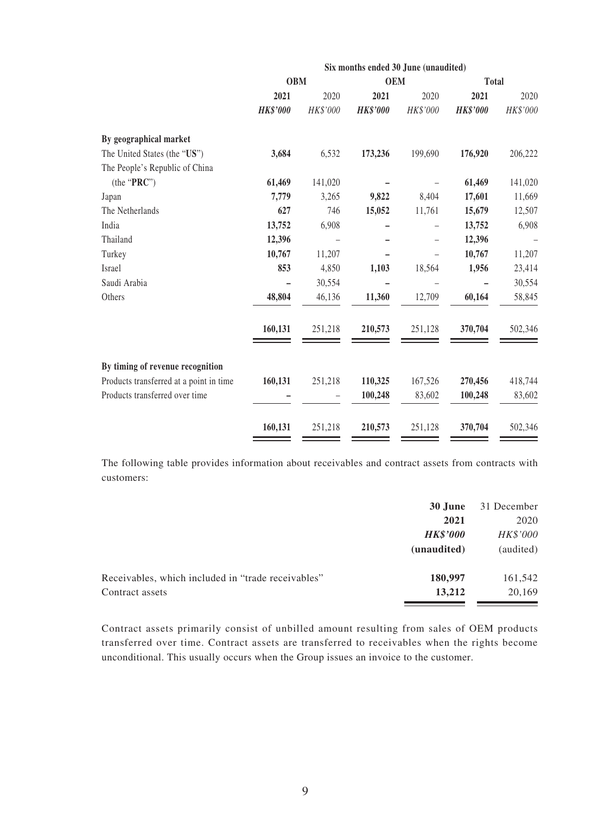|                                         | Six months ended 30 June (unaudited) |          |                 |          |                 |          |
|-----------------------------------------|--------------------------------------|----------|-----------------|----------|-----------------|----------|
|                                         | <b>OBM</b>                           |          | <b>OEM</b>      |          | <b>Total</b>    |          |
|                                         | 2021                                 | 2020     | 2021            | 2020     | 2021            | 2020     |
|                                         | <b>HK\$'000</b>                      | HK\$'000 | <b>HK\$'000</b> | HK\$'000 | <b>HK\$'000</b> | HK\$'000 |
| By geographical market                  |                                      |          |                 |          |                 |          |
| The United States (the "US")            | 3,684                                | 6,532    | 173,236         | 199,690  | 176,920         | 206,222  |
| The People's Republic of China          |                                      |          |                 |          |                 |          |
| (the "PRC")                             | 61,469                               | 141,020  |                 |          | 61,469          | 141,020  |
| Japan                                   | 7,779                                | 3,265    | 9,822           | 8,404    | 17,601          | 11,669   |
| The Netherlands                         | 627                                  | 746      | 15,052          | 11,761   | 15,679          | 12,507   |
| India                                   | 13,752                               | 6,908    |                 | -        | 13,752          | 6,908    |
| Thailand                                | 12,396                               |          |                 |          | 12,396          |          |
| Turkey                                  | 10,767                               | 11,207   |                 |          | 10,767          | 11,207   |
| Israel                                  | 853                                  | 4,850    | 1,103           | 18,564   | 1,956           | 23,414   |
| Saudi Arabia                            |                                      | 30,554   |                 |          |                 | 30,554   |
| Others                                  | 48,804                               | 46,136   | 11,360          | 12,709   | 60,164          | 58,845   |
|                                         | 160,131                              | 251,218  | 210,573         | 251,128  | 370,704         | 502,346  |
| By timing of revenue recognition        |                                      |          |                 |          |                 |          |
| Products transferred at a point in time | 160,131                              | 251,218  | 110,325         | 167,526  | 270,456         | 418,744  |
| Products transferred over time          |                                      |          | 100,248         | 83,602   | 100,248         | 83,602   |
|                                         | 160,131                              | 251,218  | 210,573         | 251,128  | 370,704         | 502,346  |

The following table provides information about receivables and contract assets from contracts with customers:

|                                                    | 30 June         | 31 December |
|----------------------------------------------------|-----------------|-------------|
|                                                    | 2021            | 2020        |
|                                                    | <b>HK\$'000</b> | HK\$'000    |
|                                                    | (unaudited)     | (audited)   |
| Receivables, which included in "trade receivables" | 180,997         | 161,542     |
| Contract assets                                    | 13.212          | 20,169      |

Contract assets primarily consist of unbilled amount resulting from sales of OEM products transferred over time. Contract assets are transferred to receivables when the rights become unconditional. This usually occurs when the Group issues an invoice to the customer.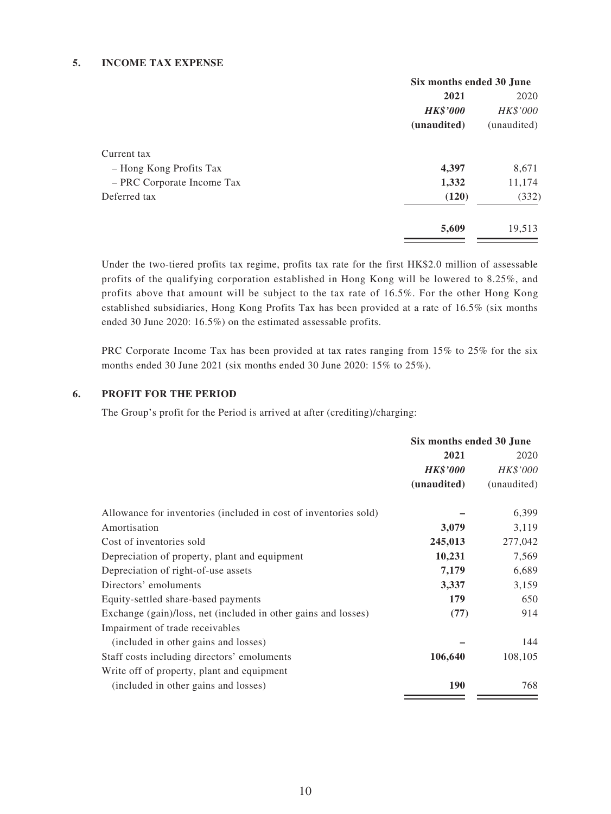#### **5. INCOME TAX EXPENSE**

|                            | Six months ended 30 June |             |
|----------------------------|--------------------------|-------------|
|                            | 2021                     | 2020        |
|                            | <b>HK\$'000</b>          | HK\$'000    |
|                            | (unaudited)              | (unaudited) |
| Current tax                |                          |             |
| - Hong Kong Profits Tax    | 4,397                    | 8,671       |
| - PRC Corporate Income Tax | 1,332                    | 11,174      |
| Deferred tax               | (120)                    | (332)       |
|                            | 5,609                    | 19,513      |

Under the two-tiered profits tax regime, profits tax rate for the first HK\$2.0 million of assessable profits of the qualifying corporation established in Hong Kong will be lowered to 8.25%, and profits above that amount will be subject to the tax rate of 16.5%. For the other Hong Kong established subsidiaries, Hong Kong Profits Tax has been provided at a rate of 16.5% (six months ended 30 June 2020: 16.5%) on the estimated assessable profits.

PRC Corporate Income Tax has been provided at tax rates ranging from 15% to 25% for the six months ended 30 June 2021 (six months ended 30 June 2020: 15% to 25%).

#### **6. PROFIT FOR THE PERIOD**

The Group's profit for the Period is arrived at after (crediting)/charging:

|                                                                  | Six months ended 30 June |             |  |
|------------------------------------------------------------------|--------------------------|-------------|--|
|                                                                  | 2021                     | 2020        |  |
|                                                                  | <b>HK\$'000</b>          | HK\$'000    |  |
|                                                                  | (unaudited)              | (unaudited) |  |
| Allowance for inventories (included in cost of inventories sold) |                          | 6,399       |  |
| Amortisation                                                     | 3,079                    | 3,119       |  |
| Cost of inventories sold                                         | 245,013                  | 277,042     |  |
| Depreciation of property, plant and equipment                    | 10,231                   | 7,569       |  |
| Depreciation of right-of-use assets                              | 7,179                    | 6,689       |  |
| Directors' emoluments                                            | 3,337                    | 3,159       |  |
| Equity-settled share-based payments                              | 179                      | 650         |  |
| Exchange (gain)/loss, net (included in other gains and losses)   | (77)                     | 914         |  |
| Impairment of trade receivables                                  |                          |             |  |
| (included in other gains and losses)                             |                          | 144         |  |
| Staff costs including directors' emoluments                      | 106,640                  | 108,105     |  |
| Write off of property, plant and equipment                       |                          |             |  |
| (included in other gains and losses)                             | <b>190</b>               | 768         |  |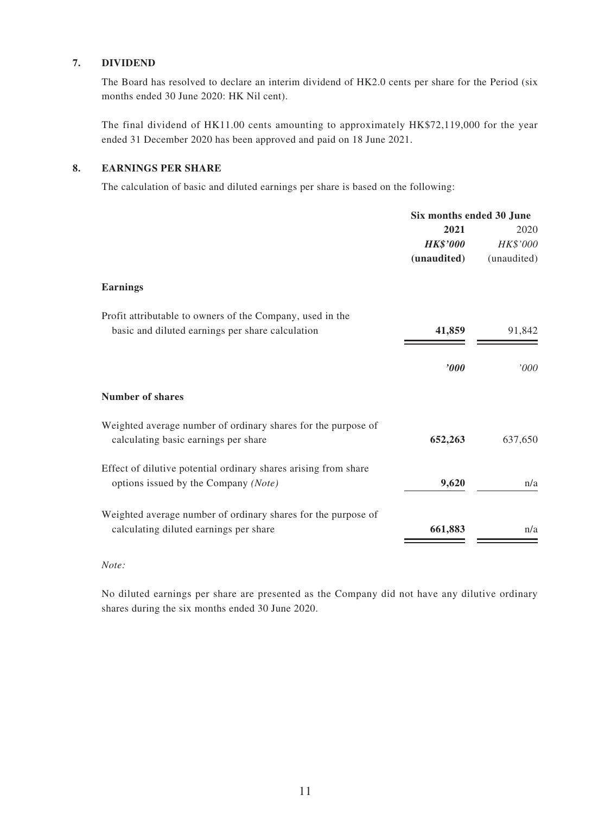#### **7. DIVIDEND**

The Board has resolved to declare an interim dividend of HK2.0 cents per share for the Period (six months ended 30 June 2020: HK Nil cent).

The final dividend of HK11.00 cents amounting to approximately HK\$72,119,000 for the year ended 31 December 2020 has been approved and paid on 18 June 2021.

#### **8. EARNINGS PER SHARE**

The calculation of basic and diluted earnings per share is based on the following:

|                                                                 | Six months ended 30 June |             |  |
|-----------------------------------------------------------------|--------------------------|-------------|--|
|                                                                 | 2021                     | 2020        |  |
|                                                                 | <b>HK\$'000</b>          | HK\$'000    |  |
|                                                                 | (unaudited)              | (unaudited) |  |
| <b>Earnings</b>                                                 |                          |             |  |
| Profit attributable to owners of the Company, used in the       |                          |             |  |
| basic and diluted earnings per share calculation                | 41,859                   | 91,842      |  |
|                                                                 | $\boldsymbol{v}$         | 000'        |  |
|                                                                 |                          |             |  |
| <b>Number of shares</b>                                         |                          |             |  |
| Weighted average number of ordinary shares for the purpose of   |                          |             |  |
| calculating basic earnings per share                            | 652,263                  | 637,650     |  |
| Effect of dilutive potential ordinary shares arising from share |                          |             |  |
| options issued by the Company (Note)                            | 9,620                    | n/a         |  |
| Weighted average number of ordinary shares for the purpose of   |                          |             |  |
| calculating diluted earnings per share                          | 661,883                  | n/a         |  |

#### *Note:*

No diluted earnings per share are presented as the Company did not have any dilutive ordinary shares during the six months ended 30 June 2020.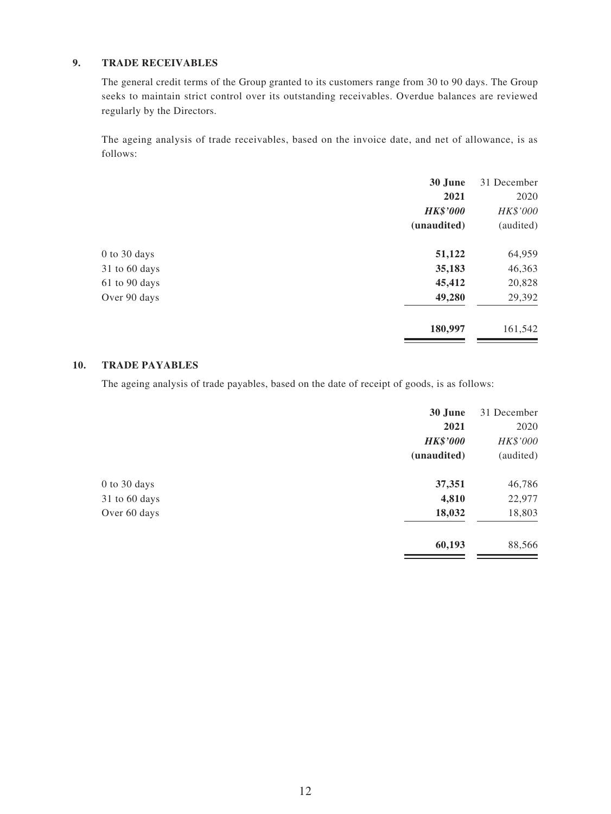#### **9. TRADE RECEIVABLES**

The general credit terms of the Group granted to its customers range from 30 to 90 days. The Group seeks to maintain strict control over its outstanding receivables. Overdue balances are reviewed regularly by the Directors.

The ageing analysis of trade receivables, based on the invoice date, and net of allowance, is as follows:

| 30 June         | 31 December |
|-----------------|-------------|
| 2021            | 2020        |
| <b>HK\$'000</b> | HK\$'000    |
| (unaudited)     | (audited)   |
| 51,122          | 64,959      |
| 35,183          | 46,363      |
| 45,412          | 20,828      |
| 49,280          | 29,392      |
| 180,997         | 161,542     |
|                 |             |

#### **10. TRADE PAYABLES**

The ageing analysis of trade payables, based on the date of receipt of goods, is as follows:

|                  | 30 June         | 31 December |
|------------------|-----------------|-------------|
|                  | 2021            | 2020        |
|                  | <b>HK\$'000</b> | HK\$'000    |
|                  | (unaudited)     | (audited)   |
| $0$ to $30$ days | 37,351          | 46,786      |
| 31 to 60 days    | 4,810           | 22,977      |
| Over 60 days     | 18,032          | 18,803      |
|                  | 60,193          | 88,566      |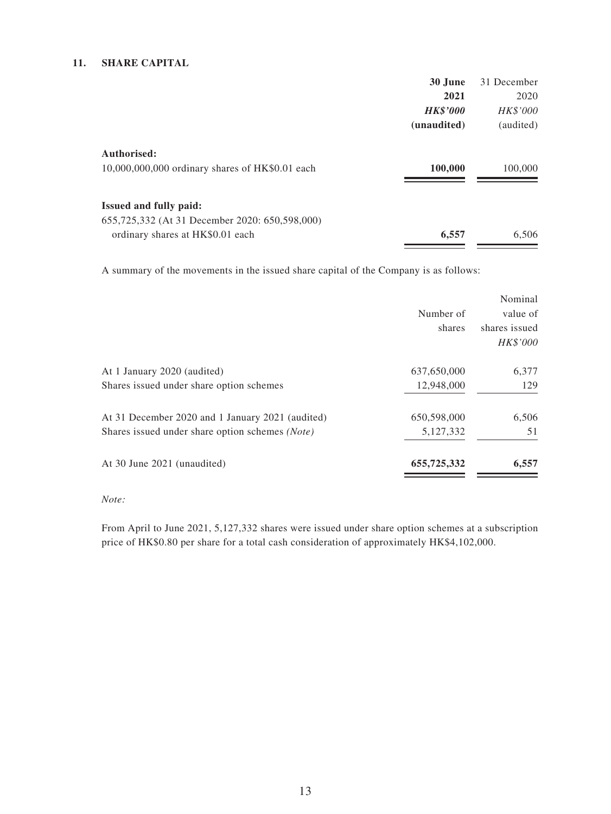#### **11. SHARE CAPITAL**

|                                                 | 30 June         | 31 December     |
|-------------------------------------------------|-----------------|-----------------|
|                                                 | 2021            | 2020            |
|                                                 | <b>HK\$'000</b> | <i>HK\$'000</i> |
|                                                 | (unaudited)     | (audited)       |
| Authorised:                                     |                 |                 |
| 10,000,000,000 ordinary shares of HK\$0.01 each | 100,000         | 100,000         |
| <b>Issued and fully paid:</b>                   |                 |                 |
| 655,725,332 (At 31 December 2020: 650,598,000)  |                 |                 |
| ordinary shares at HK\$0.01 each                | 6,557           | 6,506           |
|                                                 |                 |                 |

A summary of the movements in the issued share capital of the Company is as follows:

|                                                  |             | Nominal         |
|--------------------------------------------------|-------------|-----------------|
|                                                  | Number of   | value of        |
|                                                  | shares      | shares issued   |
|                                                  |             | <i>HK\$'000</i> |
| At 1 January 2020 (audited)                      | 637,650,000 | 6,377           |
| Shares issued under share option schemes         | 12,948,000  | 129             |
| At 31 December 2020 and 1 January 2021 (audited) | 650,598,000 | 6,506           |
| Shares issued under share option schemes (Note)  | 5,127,332   | 51              |
| At 30 June 2021 (unaudited)                      | 655,725,332 | 6,557           |
|                                                  |             |                 |

#### *Note:*

From April to June 2021, 5,127,332 shares were issued under share option schemes at a subscription price of HK\$0.80 per share for a total cash consideration of approximately HK\$4,102,000.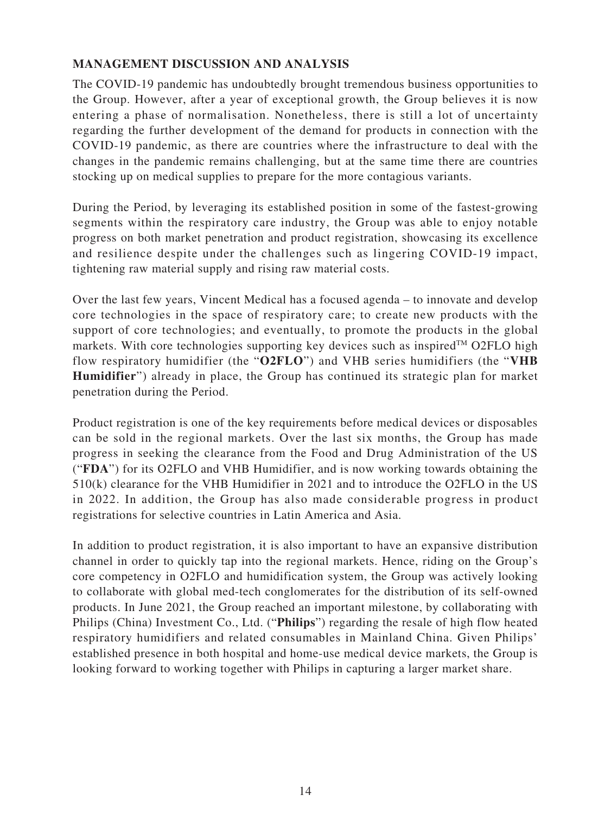### **MANAGEMENT DISCUSSION AND ANALYSIS**

The COVID-19 pandemic has undoubtedly brought tremendous business opportunities to the Group. However, after a year of exceptional growth, the Group believes it is now entering a phase of normalisation. Nonetheless, there is still a lot of uncertainty regarding the further development of the demand for products in connection with the COVID-19 pandemic, as there are countries where the infrastructure to deal with the changes in the pandemic remains challenging, but at the same time there are countries stocking up on medical supplies to prepare for the more contagious variants.

During the Period, by leveraging its established position in some of the fastest-growing segments within the respiratory care industry, the Group was able to enjoy notable progress on both market penetration and product registration, showcasing its excellence and resilience despite under the challenges such as lingering COVID-19 impact, tightening raw material supply and rising raw material costs.

Over the last few years, Vincent Medical has a focused agenda – to innovate and develop core technologies in the space of respiratory care; to create new products with the support of core technologies; and eventually, to promote the products in the global markets. With core technologies supporting key devices such as inspired<sup>TM</sup> O2FLO high flow respiratory humidifier (the "**O2FLO**") and VHB series humidifiers (the "**VHB Humidifier**") already in place, the Group has continued its strategic plan for market penetration during the Period.

Product registration is one of the key requirements before medical devices or disposables can be sold in the regional markets. Over the last six months, the Group has made progress in seeking the clearance from the Food and Drug Administration of the US ("**FDA**") for its O2FLO and VHB Humidifier, and is now working towards obtaining the 510(k) clearance for the VHB Humidifier in 2021 and to introduce the O2FLO in the US in 2022. In addition, the Group has also made considerable progress in product registrations for selective countries in Latin America and Asia.

In addition to product registration, it is also important to have an expansive distribution channel in order to quickly tap into the regional markets. Hence, riding on the Group's core competency in O2FLO and humidification system, the Group was actively looking to collaborate with global med-tech conglomerates for the distribution of its self-owned products. In June 2021, the Group reached an important milestone, by collaborating with Philips (China) Investment Co., Ltd. ("**Philips**") regarding the resale of high flow heated respiratory humidifiers and related consumables in Mainland China. Given Philips' established presence in both hospital and home-use medical device markets, the Group is looking forward to working together with Philips in capturing a larger market share.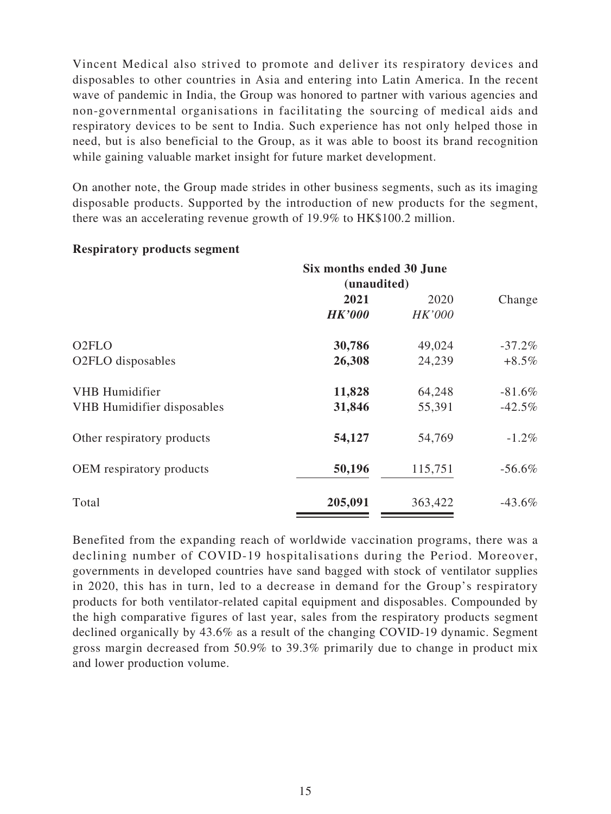Vincent Medical also strived to promote and deliver its respiratory devices and disposables to other countries in Asia and entering into Latin America. In the recent wave of pandemic in India, the Group was honored to partner with various agencies and non-governmental organisations in facilitating the sourcing of medical aids and respiratory devices to be sent to India. Such experience has not only helped those in need, but is also beneficial to the Group, as it was able to boost its brand recognition while gaining valuable market insight for future market development.

On another note, the Group made strides in other business segments, such as its imaging disposable products. Supported by the introduction of new products for the segment, there was an accelerating revenue growth of 19.9% to HK\$100.2 million.

|                                                      | Six months ended 30 June<br>(unaudited) |                       |                      |
|------------------------------------------------------|-----------------------------------------|-----------------------|----------------------|
|                                                      | 2021<br><b>HK'000</b>                   | 2020<br><b>HK'000</b> | Change               |
| O <sub>2</sub> FLO<br>O <sub>2</sub> FLO disposables | 30,786<br>26,308                        | 49,024<br>24,239      | $-37.2%$<br>$+8.5\%$ |
| VHB Humidifier<br><b>VHB</b> Humidifier disposables  | 11,828<br>31,846                        | 64,248<br>55,391      | $-81.6%$<br>$-42.5%$ |
| Other respiratory products                           | 54,127                                  | 54,769                | $-1.2\%$             |
| OEM respiratory products                             | 50,196                                  | 115,751               | $-56.6\%$            |
| Total                                                | 205,091                                 | 363,422               | $-43.6\%$            |

#### **Respiratory products segment**

Benefited from the expanding reach of worldwide vaccination programs, there was a declining number of COVID-19 hospitalisations during the Period. Moreover, governments in developed countries have sand bagged with stock of ventilator supplies in 2020, this has in turn, led to a decrease in demand for the Group's respiratory products for both ventilator-related capital equipment and disposables. Compounded by the high comparative figures of last year, sales from the respiratory products segment declined organically by 43.6% as a result of the changing COVID-19 dynamic. Segment gross margin decreased from 50.9% to 39.3% primarily due to change in product mix and lower production volume.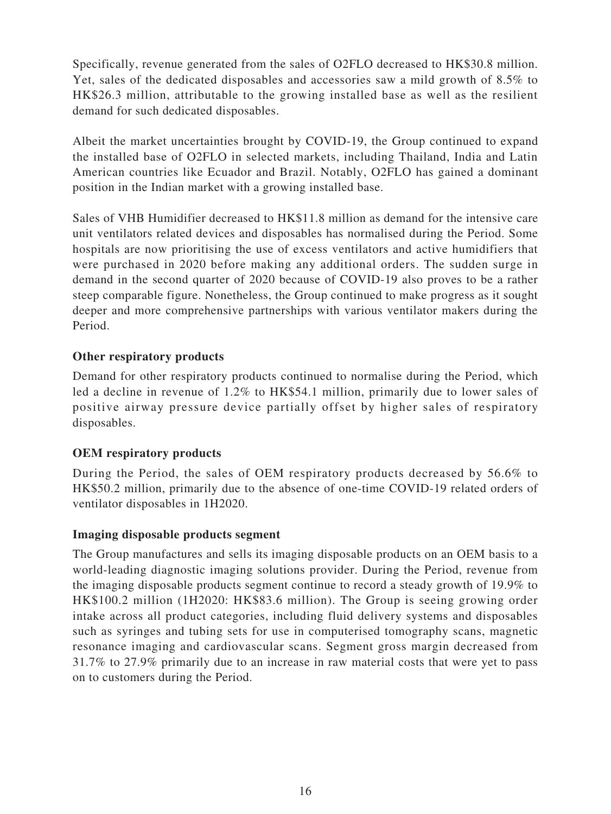Specifically, revenue generated from the sales of O2FLO decreased to HK\$30.8 million. Yet, sales of the dedicated disposables and accessories saw a mild growth of 8.5% to HK\$26.3 million, attributable to the growing installed base as well as the resilient demand for such dedicated disposables.

Albeit the market uncertainties brought by COVID-19, the Group continued to expand the installed base of O2FLO in selected markets, including Thailand, India and Latin American countries like Ecuador and Brazil. Notably, O2FLO has gained a dominant position in the Indian market with a growing installed base.

Sales of VHB Humidifier decreased to HK\$11.8 million as demand for the intensive care unit ventilators related devices and disposables has normalised during the Period. Some hospitals are now prioritising the use of excess ventilators and active humidifiers that were purchased in 2020 before making any additional orders. The sudden surge in demand in the second quarter of 2020 because of COVID-19 also proves to be a rather steep comparable figure. Nonetheless, the Group continued to make progress as it sought deeper and more comprehensive partnerships with various ventilator makers during the Period.

### **Other respiratory products**

Demand for other respiratory products continued to normalise during the Period, which led a decline in revenue of 1.2% to HK\$54.1 million, primarily due to lower sales of positive airway pressure device partially offset by higher sales of respiratory disposables.

### **OEM respiratory products**

During the Period, the sales of OEM respiratory products decreased by 56.6% to HK\$50.2 million, primarily due to the absence of one-time COVID-19 related orders of ventilator disposables in 1H2020.

#### **Imaging disposable products segment**

The Group manufactures and sells its imaging disposable products on an OEM basis to a world-leading diagnostic imaging solutions provider. During the Period, revenue from the imaging disposable products segment continue to record a steady growth of 19.9% to HK\$100.2 million (1H2020: HK\$83.6 million). The Group is seeing growing order intake across all product categories, including fluid delivery systems and disposables such as syringes and tubing sets for use in computerised tomography scans, magnetic resonance imaging and cardiovascular scans. Segment gross margin decreased from 31.7% to 27.9% primarily due to an increase in raw material costs that were yet to pass on to customers during the Period.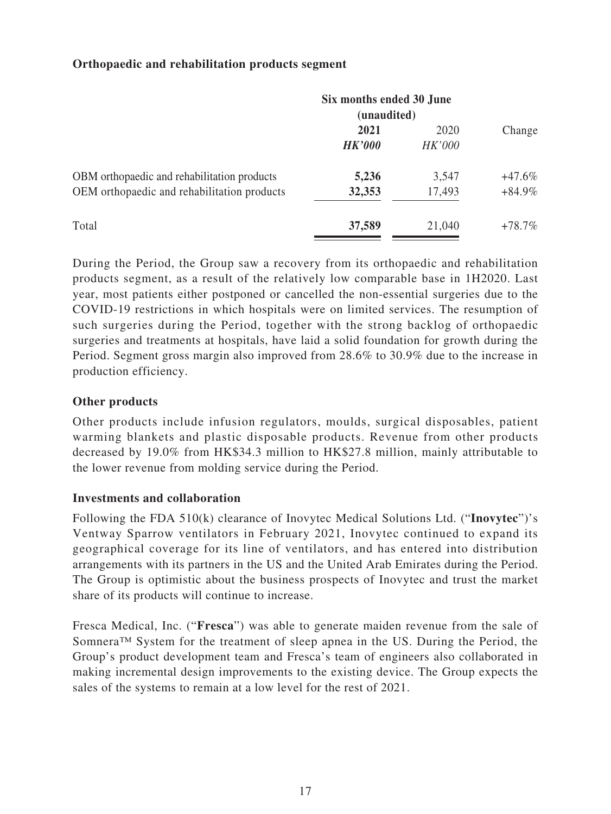#### **Orthopaedic and rehabilitation products segment**

|                                             | Six months ended 30 June<br>(unaudited) |        |           |
|---------------------------------------------|-----------------------------------------|--------|-----------|
|                                             | 2021                                    | 2020   | Change    |
|                                             | <b>HK'000</b>                           | HK'000 |           |
| OBM orthopaedic and rehabilitation products | 5,236                                   | 3,547  | $+47.6\%$ |
| OEM orthopaedic and rehabilitation products | 32,353                                  | 17,493 | $+84.9\%$ |
| Total                                       | 37,589                                  | 21,040 | $+78.7\%$ |

During the Period, the Group saw a recovery from its orthopaedic and rehabilitation products segment, as a result of the relatively low comparable base in 1H2020. Last year, most patients either postponed or cancelled the non-essential surgeries due to the COVID-19 restrictions in which hospitals were on limited services. The resumption of such surgeries during the Period, together with the strong backlog of orthopaedic surgeries and treatments at hospitals, have laid a solid foundation for growth during the Period. Segment gross margin also improved from 28.6% to 30.9% due to the increase in production efficiency.

#### **Other products**

Other products include infusion regulators, moulds, surgical disposables, patient warming blankets and plastic disposable products. Revenue from other products decreased by 19.0% from HK\$34.3 million to HK\$27.8 million, mainly attributable to the lower revenue from molding service during the Period.

#### **Investments and collaboration**

Following the FDA 510(k) clearance of Inovytec Medical Solutions Ltd. ("**Inovytec**")'s Ventway Sparrow ventilators in February 2021, Inovytec continued to expand its geographical coverage for its line of ventilators, and has entered into distribution arrangements with its partners in the US and the United Arab Emirates during the Period. The Group is optimistic about the business prospects of Inovytec and trust the market share of its products will continue to increase.

Fresca Medical, Inc. ("**Fresca**") was able to generate maiden revenue from the sale of Somnera™ System for the treatment of sleep apnea in the US. During the Period, the Group's product development team and Fresca's team of engineers also collaborated in making incremental design improvements to the existing device. The Group expects the sales of the systems to remain at a low level for the rest of 2021.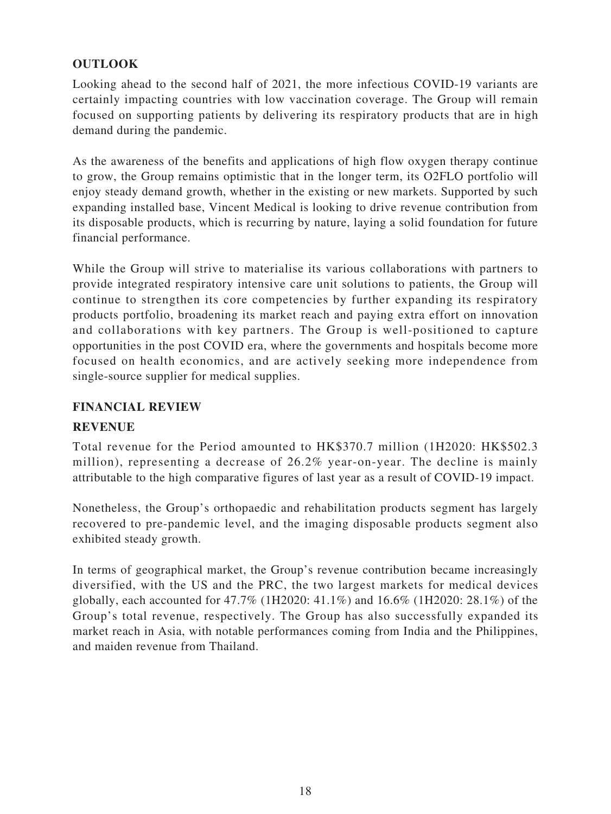## **OUTLOOK**

Looking ahead to the second half of 2021, the more infectious COVID-19 variants are certainly impacting countries with low vaccination coverage. The Group will remain focused on supporting patients by delivering its respiratory products that are in high demand during the pandemic.

As the awareness of the benefits and applications of high flow oxygen therapy continue to grow, the Group remains optimistic that in the longer term, its O2FLO portfolio will enjoy steady demand growth, whether in the existing or new markets. Supported by such expanding installed base, Vincent Medical is looking to drive revenue contribution from its disposable products, which is recurring by nature, laying a solid foundation for future financial performance.

While the Group will strive to materialise its various collaborations with partners to provide integrated respiratory intensive care unit solutions to patients, the Group will continue to strengthen its core competencies by further expanding its respiratory products portfolio, broadening its market reach and paying extra effort on innovation and collaborations with key partners. The Group is well-positioned to capture opportunities in the post COVID era, where the governments and hospitals become more focused on health economics, and are actively seeking more independence from single-source supplier for medical supplies.

#### **FINANCIAL REVIEW**

#### **REVENUE**

Total revenue for the Period amounted to HK\$370.7 million (1H2020: HK\$502.3 million), representing a decrease of 26.2% year-on-year. The decline is mainly attributable to the high comparative figures of last year as a result of COVID-19 impact.

Nonetheless, the Group's orthopaedic and rehabilitation products segment has largely recovered to pre-pandemic level, and the imaging disposable products segment also exhibited steady growth.

In terms of geographical market, the Group's revenue contribution became increasingly diversified, with the US and the PRC, the two largest markets for medical devices globally, each accounted for 47.7% (1H2020: 41.1%) and 16.6% (1H2020: 28.1%) of the Group's total revenue, respectively. The Group has also successfully expanded its market reach in Asia, with notable performances coming from India and the Philippines, and maiden revenue from Thailand.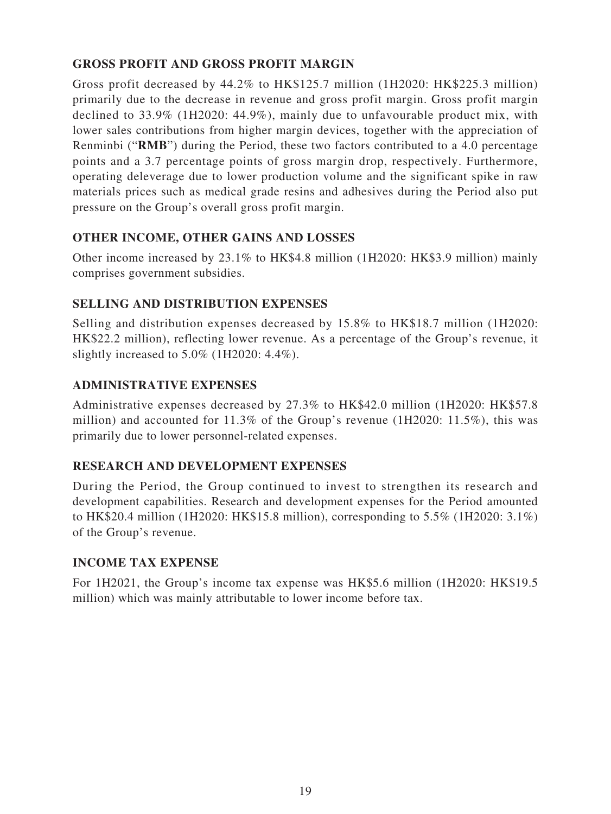## **GROSS PROFIT AND GROSS PROFIT MARGIN**

Gross profit decreased by 44.2% to HK\$125.7 million (1H2020: HK\$225.3 million) primarily due to the decrease in revenue and gross profit margin. Gross profit margin declined to 33.9% (1H2020: 44.9%), mainly due to unfavourable product mix, with lower sales contributions from higher margin devices, together with the appreciation of Renminbi ("**RMB**") during the Period, these two factors contributed to a 4.0 percentage points and a 3.7 percentage points of gross margin drop, respectively. Furthermore, operating deleverage due to lower production volume and the significant spike in raw materials prices such as medical grade resins and adhesives during the Period also put pressure on the Group's overall gross profit margin.

## **OTHER INCOME, OTHER GAINS AND LOSSES**

Other income increased by 23.1% to HK\$4.8 million (1H2020: HK\$3.9 million) mainly comprises government subsidies.

## **SELLING AND DISTRIBUTION EXPENSES**

Selling and distribution expenses decreased by 15.8% to HK\$18.7 million (1H2020: HK\$22.2 million), reflecting lower revenue. As a percentage of the Group's revenue, it slightly increased to 5.0% (1H2020: 4.4%).

## **ADMINISTRATIVE EXPENSES**

Administrative expenses decreased by 27.3% to HK\$42.0 million (1H2020: HK\$57.8 million) and accounted for 11.3% of the Group's revenue (1H2020: 11.5%), this was primarily due to lower personnel-related expenses.

## **RESEARCH AND DEVELOPMENT EXPENSES**

During the Period, the Group continued to invest to strengthen its research and development capabilities. Research and development expenses for the Period amounted to HK\$20.4 million (1H2020: HK\$15.8 million), corresponding to 5.5% (1H2020: 3.1%) of the Group's revenue.

### **INCOME TAX EXPENSE**

For 1H2021, the Group's income tax expense was HK\$5.6 million (1H2020: HK\$19.5 million) which was mainly attributable to lower income before tax.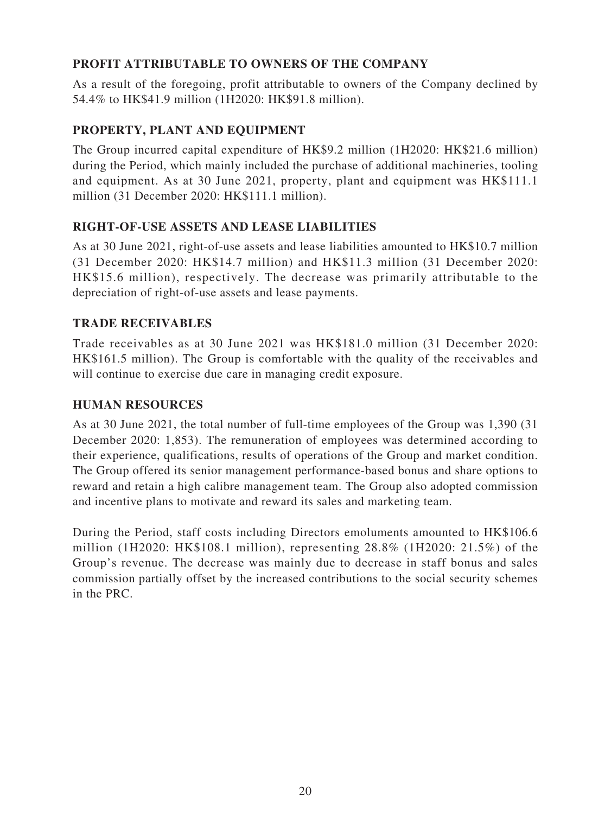## **PROFIT ATTRIBUTABLE TO OWNERS OF THE COMPANY**

As a result of the foregoing, profit attributable to owners of the Company declined by 54.4% to HK\$41.9 million (1H2020: HK\$91.8 million).

## **PROPERTY, PLANT AND EQUIPMENT**

The Group incurred capital expenditure of HK\$9.2 million (1H2020: HK\$21.6 million) during the Period, which mainly included the purchase of additional machineries, tooling and equipment. As at 30 June 2021, property, plant and equipment was HK\$111.1 million (31 December 2020: HK\$111.1 million).

### **RIGHT-OF-USE ASSETS AND LEASE LIABILITIES**

As at 30 June 2021, right-of-use assets and lease liabilities amounted to HK\$10.7 million (31 December 2020: HK\$14.7 million) and HK\$11.3 million (31 December 2020: HK\$15.6 million), respectively. The decrease was primarily attributable to the depreciation of right-of-use assets and lease payments.

### **TRADE RECEIVABLES**

Trade receivables as at 30 June 2021 was HK\$181.0 million (31 December 2020: HK\$161.5 million). The Group is comfortable with the quality of the receivables and will continue to exercise due care in managing credit exposure.

## **HUMAN RESOURCES**

As at 30 June 2021, the total number of full-time employees of the Group was 1,390 (31 December 2020: 1,853). The remuneration of employees was determined according to their experience, qualifications, results of operations of the Group and market condition. The Group offered its senior management performance-based bonus and share options to reward and retain a high calibre management team. The Group also adopted commission and incentive plans to motivate and reward its sales and marketing team.

During the Period, staff costs including Directors emoluments amounted to HK\$106.6 million (1H2020: HK\$108.1 million), representing 28.8% (1H2020: 21.5%) of the Group's revenue. The decrease was mainly due to decrease in staff bonus and sales commission partially offset by the increased contributions to the social security schemes in the PRC.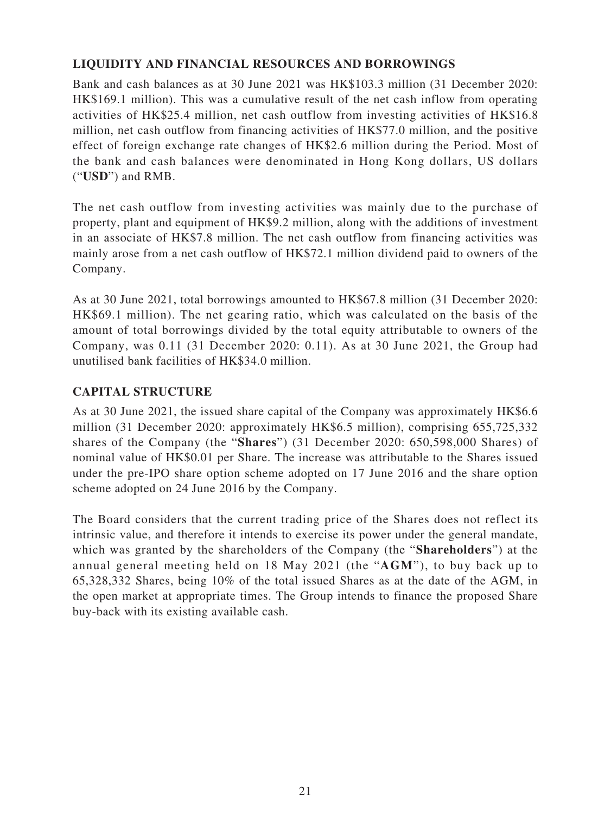### **LIQUIDITY AND FINANCIAL RESOURCES AND BORROWINGS**

Bank and cash balances as at 30 June 2021 was HK\$103.3 million (31 December 2020: HK\$169.1 million). This was a cumulative result of the net cash inflow from operating activities of HK\$25.4 million, net cash outflow from investing activities of HK\$16.8 million, net cash outflow from financing activities of HK\$77.0 million, and the positive effect of foreign exchange rate changes of HK\$2.6 million during the Period. Most of the bank and cash balances were denominated in Hong Kong dollars, US dollars ("**USD**") and RMB.

The net cash outflow from investing activities was mainly due to the purchase of property, plant and equipment of HK\$9.2 million, along with the additions of investment in an associate of HK\$7.8 million. The net cash outflow from financing activities was mainly arose from a net cash outflow of HK\$72.1 million dividend paid to owners of the Company.

As at 30 June 2021, total borrowings amounted to HK\$67.8 million (31 December 2020: HK\$69.1 million). The net gearing ratio, which was calculated on the basis of the amount of total borrowings divided by the total equity attributable to owners of the Company, was 0.11 (31 December 2020: 0.11). As at 30 June 2021, the Group had unutilised bank facilities of HK\$34.0 million.

#### **CAPITAL STRUCTURE**

As at 30 June 2021, the issued share capital of the Company was approximately HK\$6.6 million (31 December 2020: approximately HK\$6.5 million), comprising 655,725,332 shares of the Company (the "**Shares**") (31 December 2020: 650,598,000 Shares) of nominal value of HK\$0.01 per Share. The increase was attributable to the Shares issued under the pre-IPO share option scheme adopted on 17 June 2016 and the share option scheme adopted on 24 June 2016 by the Company.

The Board considers that the current trading price of the Shares does not reflect its intrinsic value, and therefore it intends to exercise its power under the general mandate, which was granted by the shareholders of the Company (the "**Shareholders**") at the annual general meeting held on 18 May 2021 (the "**AGM**"), to buy back up to 65,328,332 Shares, being 10% of the total issued Shares as at the date of the AGM, in the open market at appropriate times. The Group intends to finance the proposed Share buy-back with its existing available cash.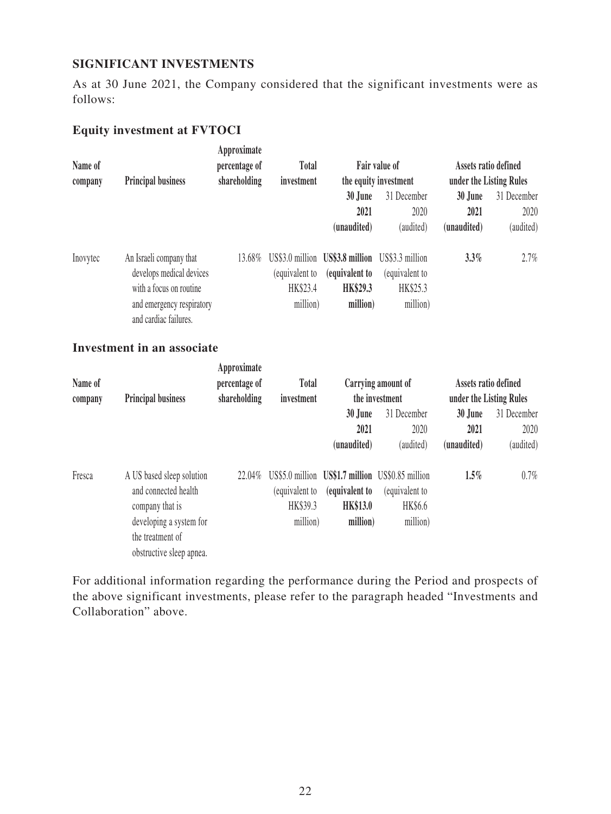#### **SIGNIFICANT INVESTMENTS**

As at 30 June 2021, the Company considered that the significant investments were as follows:

## **Equity investment at FVTOCI**

| Name of<br>company | <b>Principal business</b>                                                                                                            | Approximate<br>percentage of<br>shareholding | <b>Total</b><br>investment             |                                                                           | Fair value of<br>the equity investment                    | Assets ratio defined<br>under the Listing Rules            |                                  |
|--------------------|--------------------------------------------------------------------------------------------------------------------------------------|----------------------------------------------|----------------------------------------|---------------------------------------------------------------------------|-----------------------------------------------------------|------------------------------------------------------------|----------------------------------|
|                    |                                                                                                                                      |                                              |                                        | 30 June<br>2021<br>(unaudited)                                            | 31 December<br>2020<br>(audited)                          | 30 June<br>2021<br>(unaudited)                             | 31 December<br>2020<br>(audited) |
| Inovytec           | An Israeli company that<br>develops medical devices<br>with a focus on routine<br>and emergency respiratory<br>and cardiac failures. | 13.68%                                       | (equivalent to<br>HK\$23.4<br>million) | US\$3.0 million US\$3.8 million<br>(equivalent to<br>HK\$29.3<br>million) | US\$3.3 million<br>(equivalent to<br>HK\$25.3<br>million) | $3.3\%$                                                    | 2.7%                             |
|                    | <b>Investment in an associate</b>                                                                                                    |                                              |                                        |                                                                           |                                                           |                                                            |                                  |
| Name of<br>company | <b>Principal business</b>                                                                                                            | Approximate<br>percentage of<br>shareholding | <b>Total</b><br>investment             | 30 June                                                                   | Carrying amount of<br>the investment<br>31 December       | Assets ratio defined<br>under the Listing Rules<br>30 June | 31 December                      |

|        |                                                                                                                                                 |        |                                       | (unaudited)                                   | (audited)                                                                                        | (unaudited) | (audited) |
|--------|-------------------------------------------------------------------------------------------------------------------------------------------------|--------|---------------------------------------|-----------------------------------------------|--------------------------------------------------------------------------------------------------|-------------|-----------|
| Fresca | A US based sleep solution<br>and connected health<br>company that is<br>developing a system for<br>the treatment of<br>obstructive sleep apnea. | 22.04% | equivalent to<br>HK\$39.3<br>million) | (equivalent to<br><b>HK\$13.0</b><br>million) | US\$5.0 million US\$1.7 million US\$0.85 million<br>(equivalent to<br><b>HK\$6.6</b><br>million) | $1.5\%$     | 0.7%      |

**2021**

2020

**2021**

2020

For additional information regarding the performance during the Period and prospects of the above significant investments, please refer to the paragraph headed "Investments and Collaboration" above.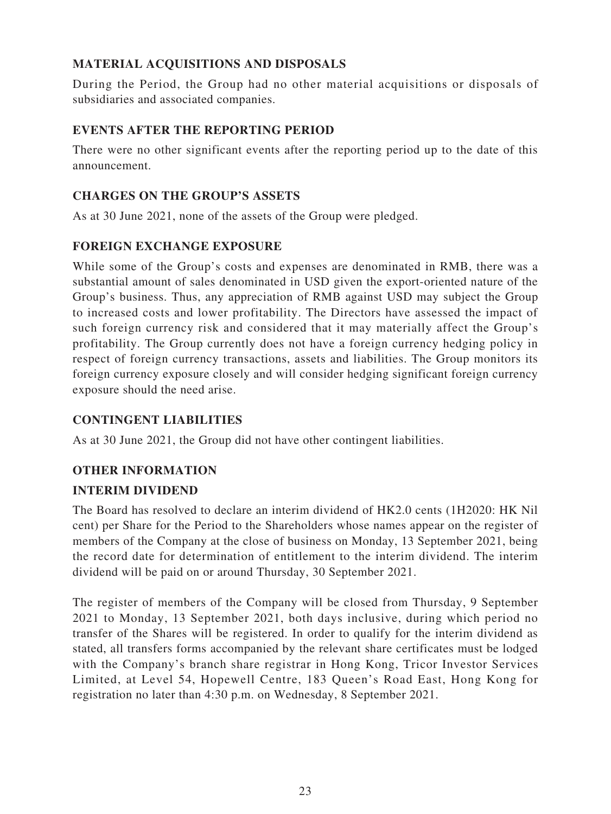## **MATERIAL ACQUISITIONS AND DISPOSALS**

During the Period, the Group had no other material acquisitions or disposals of subsidiaries and associated companies.

### **EVENTS AFTER THE REPORTING PERIOD**

There were no other significant events after the reporting period up to the date of this announcement.

### **CHARGES ON THE GROUP'S ASSETS**

As at 30 June 2021, none of the assets of the Group were pledged.

## **FOREIGN EXCHANGE EXPOSURE**

While some of the Group's costs and expenses are denominated in RMB, there was a substantial amount of sales denominated in USD given the export-oriented nature of the Group's business. Thus, any appreciation of RMB against USD may subject the Group to increased costs and lower profitability. The Directors have assessed the impact of such foreign currency risk and considered that it may materially affect the Group's profitability. The Group currently does not have a foreign currency hedging policy in respect of foreign currency transactions, assets and liabilities. The Group monitors its foreign currency exposure closely and will consider hedging significant foreign currency exposure should the need arise.

### **CONTINGENT LIABILITIES**

As at 30 June 2021, the Group did not have other contingent liabilities.

# **OTHER INFORMATION**

### **INTERIM DIVIDEND**

The Board has resolved to declare an interim dividend of HK2.0 cents (1H2020: HK Nil cent) per Share for the Period to the Shareholders whose names appear on the register of members of the Company at the close of business on Monday, 13 September 2021, being the record date for determination of entitlement to the interim dividend. The interim dividend will be paid on or around Thursday, 30 September 2021.

The register of members of the Company will be closed from Thursday, 9 September 2021 to Monday, 13 September 2021, both days inclusive, during which period no transfer of the Shares will be registered. In order to qualify for the interim dividend as stated, all transfers forms accompanied by the relevant share certificates must be lodged with the Company's branch share registrar in Hong Kong, Tricor Investor Services Limited, at Level 54, Hopewell Centre, 183 Queen's Road East, Hong Kong for registration no later than 4:30 p.m. on Wednesday, 8 September 2021.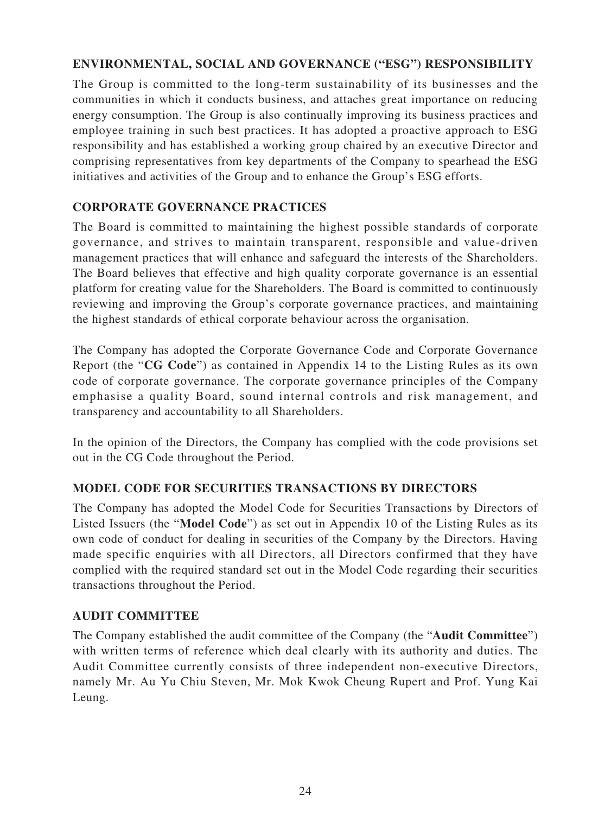### **ENVIRONMENTAL, SOCIAL AND GOVERNANCE ("ESG") RESPONSIBILITY**

The Group is committed to the long-term sustainability of its businesses and the communities in which it conducts business, and attaches great importance on reducing energy consumption. The Group is also continually improving its business practices and employee training in such best practices. It has adopted a proactive approach to ESG responsibility and has established a working group chaired by an executive Director and comprising representatives from key departments of the Company to spearhead the ESG initiatives and activities of the Group and to enhance the Group's ESG efforts.

#### **CORPORATE GOVERNANCE PRACTICES**

The Board is committed to maintaining the highest possible standards of corporate governance, and strives to maintain transparent, responsible and value-driven management practices that will enhance and safeguard the interests of the Shareholders. The Board believes that effective and high quality corporate governance is an essential platform for creating value for the Shareholders. The Board is committed to continuously reviewing and improving the Group's corporate governance practices, and maintaining the highest standards of ethical corporate behaviour across the organisation.

The Company has adopted the Corporate Governance Code and Corporate Governance Report (the "**CG Code**") as contained in Appendix 14 to the Listing Rules as its own code of corporate governance. The corporate governance principles of the Company emphasise a quality Board, sound internal controls and risk management, and transparency and accountability to all Shareholders.

In the opinion of the Directors, the Company has complied with the code provisions set out in the CG Code throughout the Period.

#### **MODEL CODE FOR SECURITIES TRANSACTIONS BY DIRECTORS**

The Company has adopted the Model Code for Securities Transactions by Directors of Listed Issuers (the "**Model Code**") as set out in Appendix 10 of the Listing Rules as its own code of conduct for dealing in securities of the Company by the Directors. Having made specific enquiries with all Directors, all Directors confirmed that they have complied with the required standard set out in the Model Code regarding their securities transactions throughout the Period.

#### **AUDIT COMMITTEE**

The Company established the audit committee of the Company (the "**Audit Committee**") with written terms of reference which deal clearly with its authority and duties. The Audit Committee currently consists of three independent non-executive Directors, namely Mr. Au Yu Chiu Steven, Mr. Mok Kwok Cheung Rupert and Prof. Yung Kai Leung.